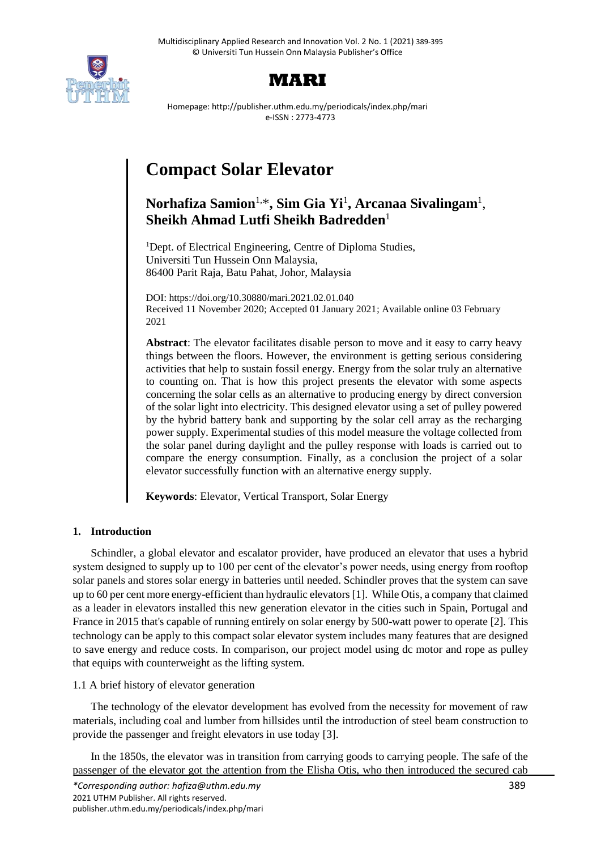



Homepage: http://publisher.uthm.edu.my/periodicals/index.php/mari e-ISSN : 2773-4773

# **Compact Solar Elevator**

# **Norhafiza Samion**1,\* **, Sim Gia Yi**<sup>1</sup> **, Arcanaa Sivalingam**<sup>1</sup> , **Sheikh Ahmad Lutfi Sheikh Badredden**<sup>1</sup>

<sup>1</sup>Dept. of Electrical Engineering, Centre of Diploma Studies, Universiti Tun Hussein Onn Malaysia, 86400 Parit Raja, Batu Pahat, Johor, Malaysia

DOI: https://doi.org/10.30880/mari.2021.02.01.040 Received 11 November 2020; Accepted 01 January 2021; Available online 03 February 2021

**Abstract**: The elevator facilitates disable person to move and it easy to carry heavy things between the floors. However, the environment is getting serious considering activities that help to sustain fossil energy. Energy from the solar truly an alternative to counting on. That is how this project presents the elevator with some aspects concerning the solar cells as an alternative to producing energy by direct conversion of the solar light into electricity. This designed elevator using a set of pulley powered by the hybrid battery bank and supporting by the solar cell array as the recharging power supply. Experimental studies of this model measure the voltage collected from the solar panel during daylight and the pulley response with loads is carried out to compare the energy consumption. Finally, as a conclusion the project of a solar elevator successfully function with an alternative energy supply.

**Keywords**: Elevator, Vertical Transport, Solar Energy

# **1. Introduction**

Schindler, a global elevator and escalator provider, have produced an elevator that uses a hybrid system designed to supply up to 100 per cent of the elevator's power needs, using energy from rooftop solar panels and stores solar energy in batteries until needed. Schindler proves that the system can save up to 60 per cent more energy-efficient than hydraulic elevators [1]. While Otis, a company that claimed as a leader in elevators installed this new generation elevator in the cities such in Spain, Portugal and France in 2015 that's capable of running entirely on solar energy by 500-watt power to operate [2]. This technology can be apply to this compact solar elevator system includes many features that are designed to save energy and reduce costs. In comparison, our project model using dc motor and rope as pulley that equips with counterweight as the lifting system.

1.1 A brief history of elevator generation

The technology of the elevator development has evolved from the necessity for movement of raw materials, including coal and lumber from hillsides until the introduction of steel beam construction to provide the passenger and freight elevators in use today [3].

In the 1850s, the elevator was in transition from carrying goods to carrying people. The safe of the passenger of the elevator got the attention from the Elisha Otis, who then introduced the secured cab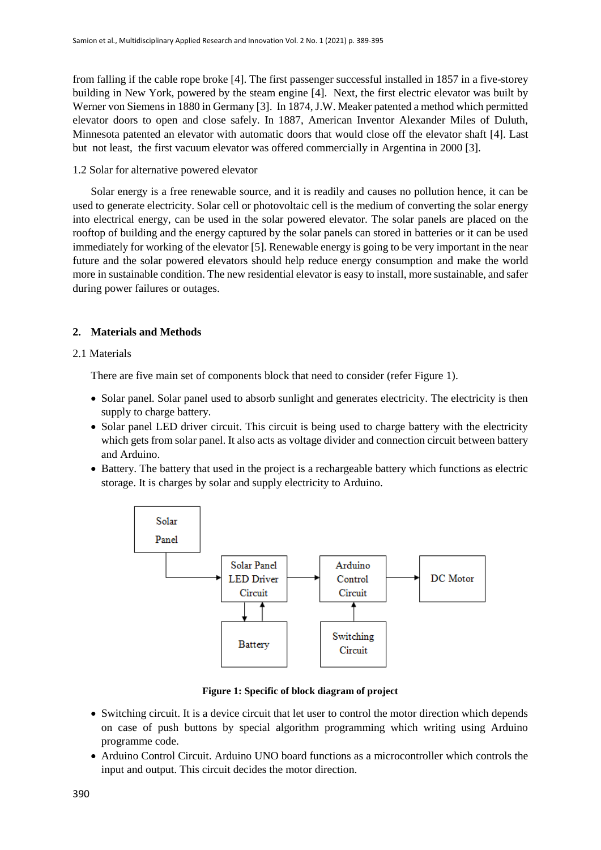from falling if the cable rope broke [4]. The first passenger successful installed in 1857 in a five-storey building in New York, powered by the steam engine [4]. Next, the first electric elevator was built by Werner von Siemens in 1880 in Germany [3]. In 1874, J.W. Meaker patented a method which permitted elevator doors to open and close safely. In 1887, American Inventor Alexander Miles of Duluth, Minnesota patented an elevator with automatic doors that would close off the elevator shaft [4]. Last but not least, the first vacuum elevator was offered commercially in Argentina in 2000 [3].

# 1.2 Solar for alternative powered elevator

Solar energy is a free renewable source, and it is readily and causes no pollution hence, it can be used to generate electricity. Solar cell or photovoltaic cell is the medium of converting the solar energy into electrical energy, can be used in the solar powered elevator. The solar panels are placed on the rooftop of building and the energy captured by the solar panels can stored in batteries or it can be used immediately for working of the elevator [5]. Renewable energy is going to be very important in the near future and the solar powered elevators should help reduce energy consumption and make the world more in sustainable condition. The new residential elevator is easy to install, more sustainable, and safer during power failures or outages.

# **2. Materials and Methods**

## 2.1 Materials

There are five main set of components block that need to consider (refer Figure 1).

- Solar panel. Solar panel used to absorb sunlight and generates electricity. The electricity is then supply to charge battery.
- Solar panel LED driver circuit. This circuit is being used to charge battery with the electricity which gets from solar panel. It also acts as voltage divider and connection circuit between battery and Arduino.
- Battery. The battery that used in the project is a rechargeable battery which functions as electric storage. It is charges by solar and supply electricity to Arduino.



**Figure 1: Specific of block diagram of project**

- Switching circuit. It is a device circuit that let user to control the motor direction which depends on case of push buttons by special algorithm programming which writing using Arduino programme code.
- Arduino Control Circuit. Arduino UNO board functions as a microcontroller which controls the input and output. This circuit decides the motor direction.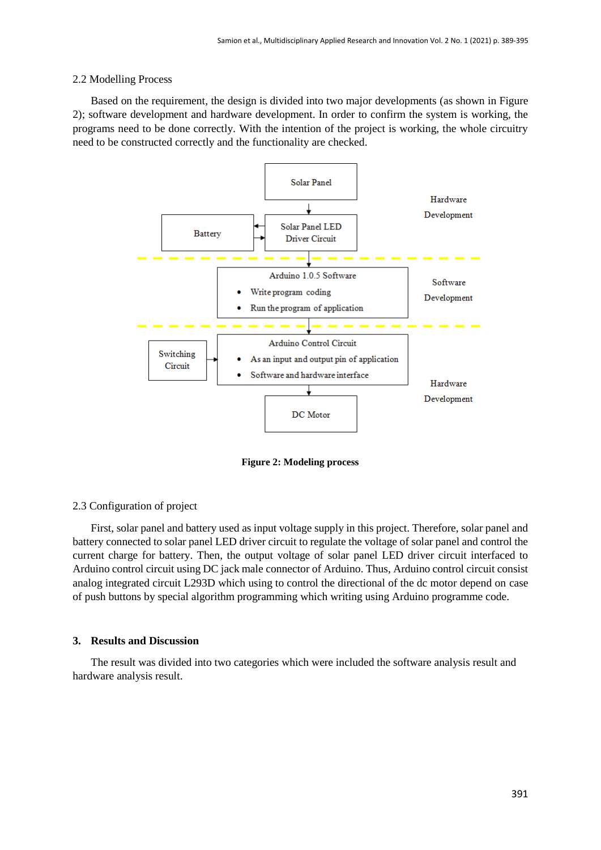#### 2.2 Modelling Process

Based on the requirement, the design is divided into two major developments (as shown in Figure 2); software development and hardware development. In order to confirm the system is working, the programs need to be done correctly. With the intention of the project is working, the whole circuitry need to be constructed correctly and the functionality are checked.



**Figure 2: Modeling process**

#### 2.3 Configuration of project

First, solar panel and battery used as input voltage supply in this project. Therefore, solar panel and battery connected to solar panel LED driver circuit to regulate the voltage of solar panel and control the current charge for battery. Then, the output voltage of solar panel LED driver circuit interfaced to Arduino control circuit using DC jack male connector of Arduino. Thus, Arduino control circuit consist analog integrated circuit L293D which using to control the directional of the dc motor depend on case of push buttons by special algorithm programming which writing using Arduino programme code.

#### **3. Results and Discussion**

The result was divided into two categories which were included the software analysis result and hardware analysis result.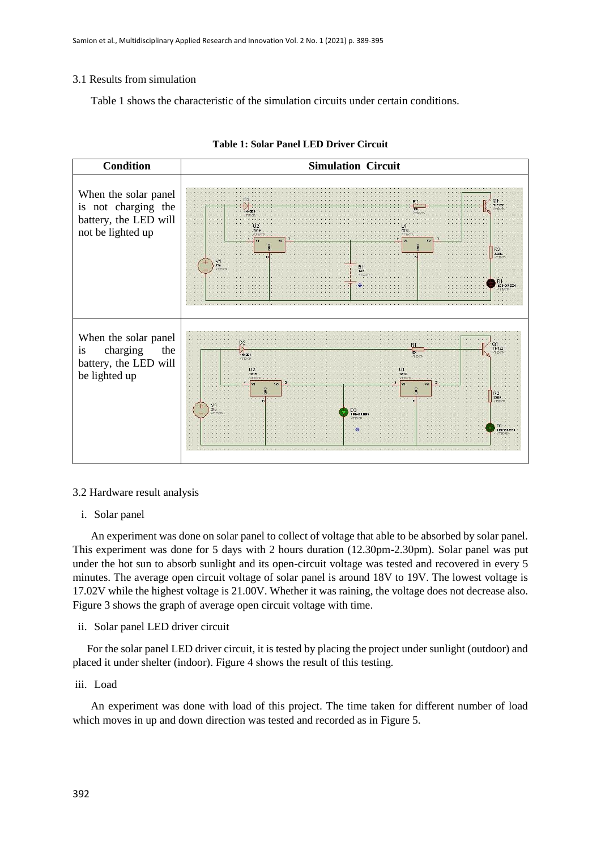# 3.1 Results from simulation

Table 1 shows the characteristic of the simulation circuits under certain conditions.



#### **Table 1: Solar Panel LED Driver Circuit**

#### 3.2 Hardware result analysis

#### i. Solar panel

An experiment was done on solar panel to collect of voltage that able to be absorbed by solar panel. This experiment was done for 5 days with 2 hours duration (12.30pm-2.30pm). Solar panel was put under the hot sun to absorb sunlight and its open-circuit voltage was tested and recovered in every 5 minutes. The average open circuit voltage of solar panel is around 18V to 19V. The lowest voltage is 17.02V while the highest voltage is 21.00V. Whether it was raining, the voltage does not decrease also. Figure 3 shows the graph of average open circuit voltage with time.

# ii. Solar panel LED driver circuit

For the solar panel LED driver circuit, it is tested by placing the project under sunlight (outdoor) and placed it under shelter (indoor). Figure 4 shows the result of this testing.

# iii. Load

An experiment was done with load of this project. The time taken for different number of load which moves in up and down direction was tested and recorded as in Figure 5.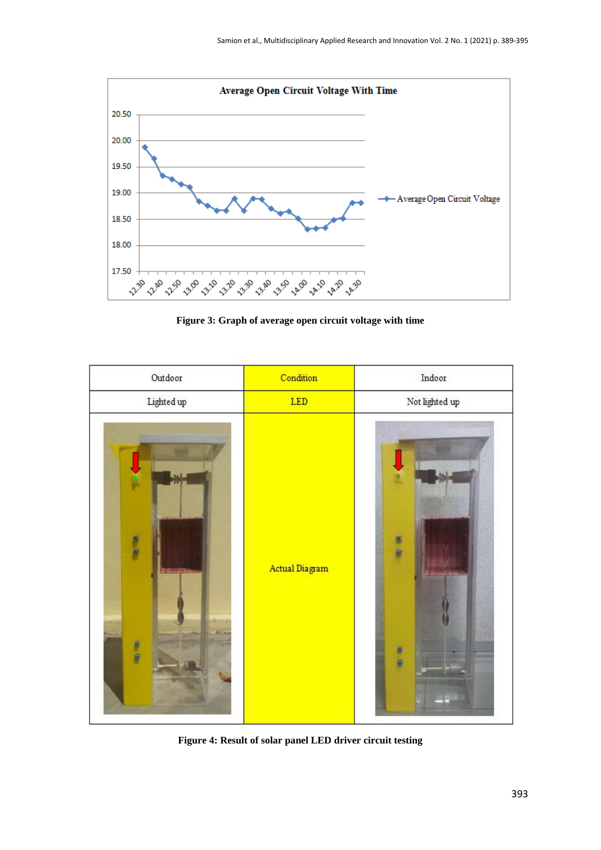

**Figure 3: Graph of average open circuit voltage with time**



**Figure 4: Result of solar panel LED driver circuit testing**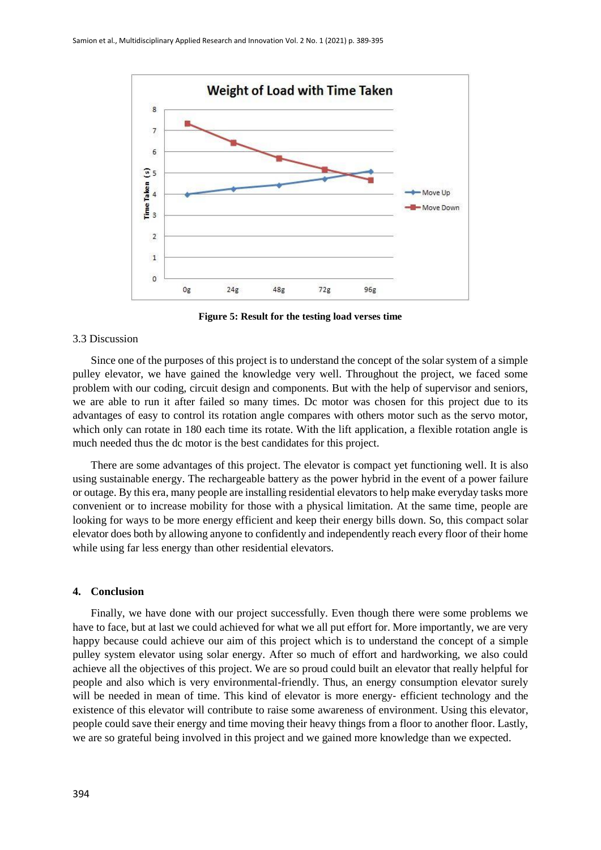

**Figure 5: Result for the testing load verses time**

#### 3.3 Discussion

Since one of the purposes of this project is to understand the concept of the solar system of a simple pulley elevator, we have gained the knowledge very well. Throughout the project, we faced some problem with our coding, circuit design and components. But with the help of supervisor and seniors, we are able to run it after failed so many times. Dc motor was chosen for this project due to its advantages of easy to control its rotation angle compares with others motor such as the servo motor, which only can rotate in 180 each time its rotate. With the lift application, a flexible rotation angle is much needed thus the dc motor is the best candidates for this project.

There are some advantages of this project. The elevator is compact yet functioning well. It is also using sustainable energy. The rechargeable battery as the power hybrid in the event of a power failure or outage. By this era, many people are installing residential elevators to help make everyday tasks more convenient or to increase mobility for those with a physical limitation. At the same time, people are looking for ways to be more energy efficient and keep their energy bills down. So, this compact solar elevator does both by allowing anyone to confidently and independently reach every floor of their home while using far less energy than other residential elevators.

#### **4. Conclusion**

Finally, we have done with our project successfully. Even though there were some problems we have to face, but at last we could achieved for what we all put effort for. More importantly, we are very happy because could achieve our aim of this project which is to understand the concept of a simple pulley system elevator using solar energy. After so much of effort and hardworking, we also could achieve all the objectives of this project. We are so proud could built an elevator that really helpful for people and also which is very environmental-friendly. Thus, an energy consumption elevator surely will be needed in mean of time. This kind of elevator is more energy- efficient technology and the existence of this elevator will contribute to raise some awareness of environment. Using this elevator, people could save their energy and time moving their heavy things from a floor to another floor. Lastly, we are so grateful being involved in this project and we gained more knowledge than we expected.